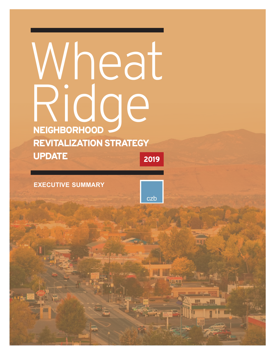# NEIGHBORHOOD REVITALIZATION STRATEGY UPDATE 2019 Wheat Ridge

**EXECUTIVE SUMMARY**

 $czb$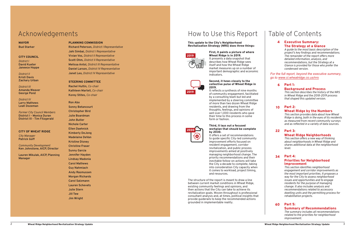# Table of Contents

#### Executive Summary: The Strategy at a Glance

*A guide to the most basic description of the project's key findings and recommendations. The remainder of the report offers more detailed information, analysis, and recommendations, but the Strategy at a Glance is provided for those who prefer the condensed version.*

#### Part 1:

#### Background and Process

*This section describes the history of the NRS in Wheat Ridge and the 2018-2019 process that shaped this updated version.*

#### Wheat Ridge by the Numbers

*This section provides data about how Wheat Ridge is doing, both in the eyes of its residents as measured from recent community surveys and as reflected in a variety of data sources.* 

#### Wheat Ridge Neighborhoods

*This section offers a new way of thinking about neighborhoods in Wheat Ridge and shares additional data at the neighborhood level.* 

#### Part 2: 10

### Part 3: 22

*This section identifies neighborhood engagement and corridor improvements as the most important priorities. It proposes a way for the City to assess neighborhood issues and opportunities and to engage residents for the purpose of managing change. It also includes analysis and recommendations related to accessory dwelling units and the permitting process for rehabilitation projects.*

#### Part 4: Priorities for Neighborhood Improvement 34

#### Summary of Recommendations

#### Part 5: 60

*The summary includes all recommendations related to the priorities for neighborhood improvement.*



#### This update to the City's Neighborhood Revitalization Strategy (NRS) does three things:

First, it paints a picture of where Wheat Ridge is in 2019.

It presents a data snapshot that describes how Wheat Ridge sees itself and how the Wheat Ridge market measures up on a number of important demographic and economic indicators.

#### Second, it hews closely to the collective pulse of Wheat Ridge in 2019.

It reflects a synthesis of nine months of community engagement, facilitated by a consulting team but led and implemented by a steering committee of more than two dozen Wheat Ridge residents, and drawing from the thoughts, feelings, and opinions of well over 1,000 residents who gave their time to this process in some form or fashion.

#### Third, it lays out a focused workplan that should be complete by 2030.

4<br> $h\epsilon$   $\underline{v}$ <br>6 *For the full report, beyond the executive summary, go to www.ci.wheatridge.co.us/nrs* 

It offers a set of recommendations to guide specific City-led community improvement efforts focused on resident engagement, corridor revitalization, and public process improvements aimed at positively managing neighborhood change. The priority recommendations and their inevitable follow-on actions will take the City a decade to complete, taking into consideration City capacity when it comes to workload, project timing, and resources.

The structure of the report is meant to draw a line between current market conditions in Wheat Ridge, existing community feelings and opinions, and then actions that the City can take to achieve its revitalization goals. Woven throughout is professional consultant analysis and, at times, political insights that provide guiderails to keep the recommended actions grounded in implementable reality.







# Acknowledgements

## MAYOR

**Bud Starker**

### CITY COUNCIL

*District I* **David Kueter Janeece Hoppe**

*District II* **Kristi Davis Zachary Urban**

*District III*  **Amanda Weaver George Pond**

*District IV*  **Larry Mathews Leah Dozeman**

*Former City Council Members* **District I - Monica Duran District III - Tim Fitzgerald**

#### CITY OF WHEAT RIDGE

*City Manager* **Patrick Goff** 

*Community Development* **Ken Johnstone, AICP, Director** 

**Lauren Mikulak, AICP, Planning Manager** 

#### PLANNING COMMISSION

**Richard Peterson,** *District I Representative* **Jahi Simbai,** *District I Representative* **Vivian Vos,** *District II Representative* **Scott Ohm,** *District II Representative* **Melissa Antol,** *District III Representative* **Daniel Larson,** *District IV Representative* **Janet Leo,** *District IV Representative*

#### STEERING COMMITTEE

**Rachel Hultin,** *Co-chair*  **Kathleen Martell,** *Co-chair*  **Korey Stites,** *Co-chair* 

**Ron Abo Sonny Betancourt Christopher Bird Julie Boardman John Butler Nichole Carter Ellen Daehnick Kimberly DeJong Madelaine DeVan Kristine Disney Christine Fraser Sunny Garcia Jennifer Hayden Lindsay Madonia Carol Mathews Guy Nahmiach Andy Rasmussen Morgan Richards Carol Salzmann Lauren Schevets Julie Stern Jill Tew Jim Wright**